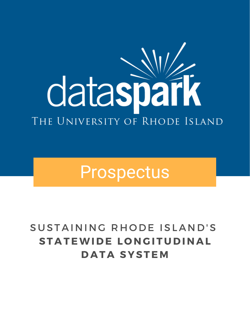# dataspark THE UNIVERSITY OF RHODE ISLAND

## Prospectus

### SUSTAINING RHODE ISLAND'S **ST A TEWI D E L O N G I T U D I N A L D A T A SYSTE M**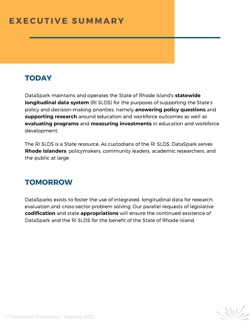#### **E X EC U T I V E S U M M A R Y**

#### **TODAY**

DataSp**R**ar**I**k**S**m**L**a**D**in**S**tains and operates the State of Rhode Island's **statewide longitudinal data system** (RI SLDS) for the purposes of supporting the State's policy and decision-making priorities, namely **answering policy questions** and **supporting research** around education and workforce outcomes as well as **evaluating programs** and **measuring investments** in education and workforce development.

The RI SLDS is a State resource. As custodians of the RI SLDS, DataSpark serves **Rhode Islanders**: policymakers, community leaders, academic researchers, and the public at large.

#### **TOMORROW**

DataSparks exists to foster the use of integrated, longitudinal data for research, evaluation and cross-sector problem solving. Our parallel requests of legislative **codification** and state **appropriations** will ensure the continued existence of DataSpark and the RI SLDS for the benefit of the State of Rhode Island.

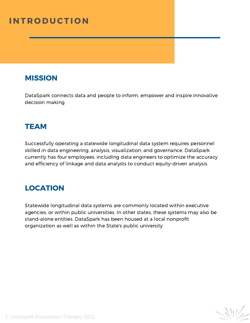#### **I N T R O D U CT I O N**

#### **MISSION**

DataSpark connects data and people to inform, empower and inspire innovative decision making.

#### **TEAM**

Successfully operating a statewide longitudinal data system requires personnel skilled in data engineering, analysis, visualization, and governance. DataSpark currently has four employees, including data engineers to optimize the accuracy and efficiency of linkage and data analysts to conduct equity-driven analysis.

#### **LOCATION**

Statewide longitudinal data systems are commonly located within executive agencies, or within public universities. In other states, these systems may also be stand-alone entities. DataSpark has been housed at a local nonprofit organization as well as within the State's public university.

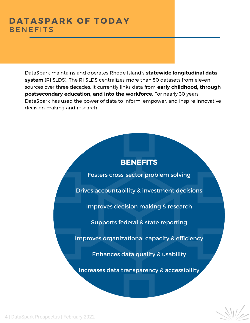#### **D A T A SP A R K O F T O D A Y BENFFITS**

**postsecondary education, and into the workforce**. For nearly 30 years, DataSpark maintains and operates Rhode Island's **statewide longitudinal data system** (RI SLDS). The RI SLDS centralizes more than 50 datasets from eleven sources over three decades. It currently links data from **early childhood, through** DataSpark has used the power of data to inform, empower, and inspire innovative decision making and research.

#### **BENEFITS**

Fosters cross-sector problem solving

Drives accountability & investment decisions

Improves decision making & research

Supports federal & state reporting

Improves organizational capacity & efficiency

Enhances data quality & usability

Increases data transparency & accessibility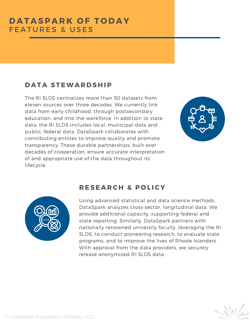#### **D A T A STEWA R D S H IP**

The RI SLDS centralizes more than 50 datasets from eleven sources over three decades. We currently link data from early childhood, through postsecondary education, and into the workforce. In addition to state data, the RI SLDS includes local, municipal data and public, federal data. DataSpark collaborates with contributing entities to improve quality and promote transparency. These durable partnerships, built over decades of cooperation, ensure accurate interpretation of and appropriate use of the data throughout its lifecycle.





#### **R ESE A R C H & P O L ICY**

Using advanced statistical and data science methods, DataSpark analyzes cross-sector, longitudinal data. We provide additional capacity, supporting federal and state reporting. Similarly, DataSpark partners with nationally renowned university faculty, leveraging the RI SLDS, to conduct pioneering research, to evaluate state programs, and to improve the lives of Rhode Islanders. With approval from the data providers, we securely release anonymized RI SLDS data.

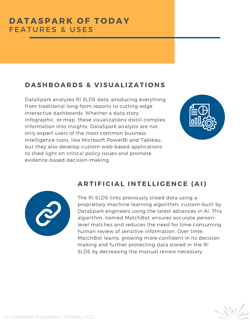#### $B$  **DASHBOARDS & VISUALIZATIONS**

DataSpark analyzes RI SLDS data, producing everything from traditional long-form reports to cutting-edge interactive dashboards. Whether a data story, infographic, or map, these visualizations distill complex information into insights. DataSpark analysts are not only expert users of the most common business intelligence tools, like Microsoft PowerBI and Tableau, but they also develop custom web-based applications to shed light on critical policy issues and promote evidence-based decision-making.





#### **A R T I F ICI A L I N TEL L I G E N CE ( A I)**

The RI SLDS links previously siloed data using a proprietary machine learning algorithm, custom-built by DataSpark engineers using the latest advances in AI. This algorithm, named MatchBot, ensures accurate personlevel matches and reduces the need for time consuming human review of sensitive information. Over time, MatchBot learns, growing more confident in its decision making and further protecting data stored in the RI SLDS by decreasing the manual review necessary.

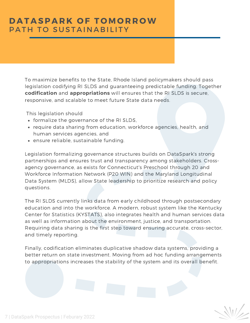#### **D A T A SP A R K O F T O M O R R OW** PATH TO SUSTAINABILITY

To maximize benefits to the State, Rhode Island policymakers should pass legislation codifying RI SLDS and guaranteeing predictable funding. Together **codification** and **appropriations** will ensures that the RI SLDS is secure, responsive, and scalable to meet future State data needs.

This legislation should

- formalize the governance of the RI SLDS,
- require data sharing from education, workforce agencies, health, and human services agencies, and
- ensure reliable, sustainable funding.

Legislation formalizing governance structures builds on DataSpark's strong partnerships and ensures trust and transparency among stakeholders. Crossagency governance, as exists for Connecticut's Preschool through 20 and Workforce Information Network (P20 WIN) and the Maryland Longitudinal Data System (MLDS), allow State leadership to prioritize research and policy questions.

The RI SLDS currently links data from early childhood through postsecondary education and into the workforce. A modern, robust system like the Kentucky Center for Statistics (KYSTATS), also integrates health and human services data as well as information about the environment, justice, and transportation. Requiring data sharing is the first step toward ensuring accurate, cross-sector, and timely reporting.

Finally, codification eliminates duplicative shadow data systems, providing a better return on state investment. Moving from ad hoc funding arrangements to appropriations increases the stability of the system and its overall benefit.

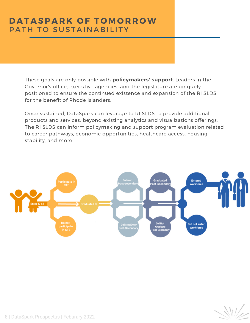#### **DATASPARK OF TOMORROW** PATH TO SUSTAINABILITY

These goals are only possible with **policymakers' support**. Leaders in the Governor's office, executive agencies, and the legislature are uniquely positioned to ensure the continued existence and expansion of the RI SLDS for the benefit of Rhode Islanders.

Once sustained, DataSpark can leverage to RI SLDS to provide additional products and services, beyond existing analytics and visualizations offerings. The RI SLDS can inform policymaking and support program evaluation related to career pathways, economic opportunities, healthcare access, housing stability, and more.

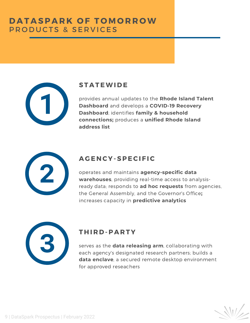

#### **ST A TEWI D E**

provides annual updates to the **Rhode Island Talent [Dashboard](http://ritalentdashboard.org/)** and develops a **COVID-19 Recovery Dashboard**; identifies **family & household connections;** produces a **unified Rhode Island address list**



#### **A G E N CY-SPECI F IC**

operates and maintains **agency-specific data warehouses**, providing real-time access to analysisready data; responds to **ad hoc requests** from agencies, the General Assembly, and the Governor's Office**;** increases capacity in **predictive analytics**

#### **T H I R D -P A R TY**

serves as the **data releasing arm**, collaborating with each agency's designated research partners; builds a **data enclave**, a secured remote desktop environment for approved reseachers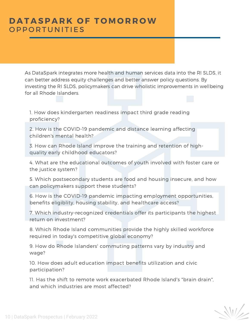#### **D A T A SP A R K O F T O M O R R OW OPPORTUNITIES**

As DataSpark integrates more health and human services data into the RI SLDS, it can better address equity challenges and better answer policy questions. By investing the RI SLDS, policymakers can drive wholistic improvements in wellbeing for all Rhode Islanders.

1. How does kindergarten readiness impact third grade reading proficiency?

2. How is the COVID-19 pandemic and distance learning affecting children's mental health?

3. How can Rhode Island improve the training and retention of highquality early childhood educators?

4. What are the educational outcomes of youth involved with foster care or the justice system?

5. Which postsecondary students are food and housing insecure, and how can policymakers support these students?

6. How is the COVID-19 pandemic impacting employment opportunities, benefits eligiblity, housing stability, and healthcare access?

7. Which industry-recognized credentials offer its participants the highest return on investment?

8. Which Rhode Island communities provide the highly skilled workforce required in today's competitive global economy?

9. How do Rhode Islanders' commuting patterns vary by industry and wage?

10. How does adult education impact benefits utilization and civic participation?

11. Has the shift to remote work exacerbated Rhode Island's "brain drain", and which industries are most affected?